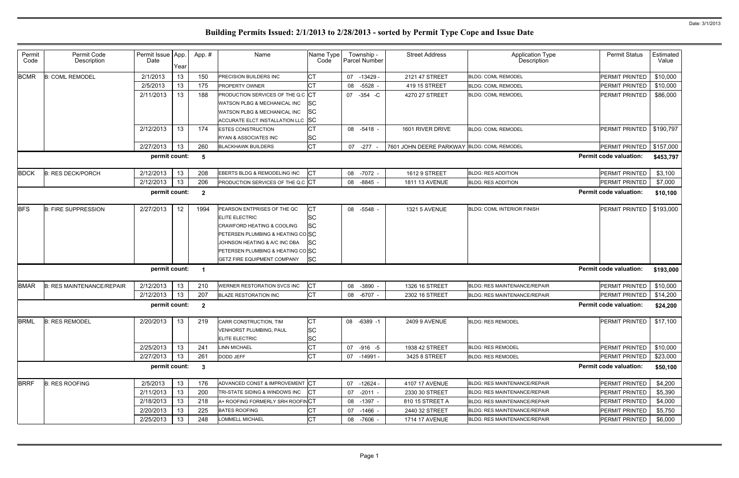| Permit<br>Code | Permit Code<br>Description       | Permit Issue   App.<br>Date | Year | App.#          | Name                                                                                                                                                                                                                                  | Name Type<br>Code                    |    | Township -<br>Parcel Number | <b>Street Address</b>                      | <b>Application Type</b><br><b>Description</b> | <b>Permit Status</b>          | Estimated<br>Value |
|----------------|----------------------------------|-----------------------------|------|----------------|---------------------------------------------------------------------------------------------------------------------------------------------------------------------------------------------------------------------------------------|--------------------------------------|----|-----------------------------|--------------------------------------------|-----------------------------------------------|-------------------------------|--------------------|
| <b>BCMR</b>    | <b>B: COML REMODEL</b>           | 2/1/2013                    | 13   | 150            | PRECISION BUILDERS INC                                                                                                                                                                                                                | СT                                   | 07 | $-13429 -$                  | 2121 47 STREET                             | <b>BLDG: COML REMODEL</b>                     | PERMIT PRINTED                | \$10,000           |
|                |                                  | 2/5/2013                    | 13   | 175            | PROPERTY OWNER                                                                                                                                                                                                                        | CТ                                   | 08 | $-5528 -$                   | 419 15 STREET                              | <b>BLDG: COML REMODEL</b>                     | <b>PERMIT PRINTED</b>         | \$10,000           |
|                |                                  | 2/11/2013                   | 13   | 188            | PRODUCTION SERVICES OF THE Q.C CT                                                                                                                                                                                                     |                                      | 07 | $-354 - C$                  | 4270 27 STREET                             | <b>BLDG: COML REMODEL</b>                     | <b>PERMIT PRINTED</b>         | \$86,000           |
|                |                                  |                             |      |                | WATSON PLBG & MECHANICAL INC                                                                                                                                                                                                          | lSС                                  |    |                             |                                            |                                               |                               |                    |
|                |                                  |                             |      |                | WATSON PLBG & MECHANICAL INC                                                                                                                                                                                                          | <b>SC</b>                            |    |                             |                                            |                                               |                               |                    |
|                |                                  |                             |      |                | ACCURATE ELCT INSTALLATION LLC SC                                                                                                                                                                                                     |                                      |    |                             |                                            |                                               |                               |                    |
|                |                                  | 2/12/2013                   | 13   | 174            | <b>ESTES CONSTRUCTION</b>                                                                                                                                                                                                             |                                      | 08 | $-5418 -$                   | 1601 RIVER DRIVE                           | <b>BLDG: COML REMODEL</b>                     | <b>PERMIT PRINTED</b>         | \$190,797          |
|                |                                  |                             |      |                | RYAN & ASSOCIATES INC                                                                                                                                                                                                                 | SC                                   |    |                             |                                            |                                               |                               |                    |
|                |                                  | 2/27/2013                   | 13   | 260            | <b>BLACKHAWK BUILDERS</b>                                                                                                                                                                                                             | <b>CT</b>                            |    | 07 -277 -                   | 7601 JOHN DEERE PARKWAY BLDG: COML REMODEL |                                               | PERMIT PRINTED                | \$157,000          |
|                |                                  | permit count:               |      | 5              |                                                                                                                                                                                                                                       |                                      |    |                             |                                            |                                               | <b>Permit code valuation:</b> | \$453,797          |
| <b>BDCK</b>    | <b>B: RES DECK/PORCH</b>         | 2/12/2013                   | 13   | 208            | EBERTS BLDG & REMODELING INC                                                                                                                                                                                                          | СT                                   | 08 | -7072 -                     | 1612 9 STREET                              | <b>BLDG: RES ADDITION</b>                     | PERMIT PRINTED                | \$3,100            |
|                |                                  | 2/12/2013                   | 13   | 206            | PRODUCTION SERVICES OF THE Q.C CT                                                                                                                                                                                                     |                                      | 08 | $-8845 -$                   | <b>1811 13 AVENUE</b>                      | <b>BLDG: RES ADDITION</b>                     | <b>PERMIT PRINTED</b>         | \$7,000            |
|                |                                  | permit count:               |      | $\overline{2}$ |                                                                                                                                                                                                                                       |                                      |    |                             |                                            |                                               | <b>Permit code valuation:</b> | \$10,100           |
| <b>BFS</b>     | <b>B: FIRE SUPPRESSION</b>       | 2/27/2013                   | 12   | 1994           | PEARSON ENTPRISES OF THE QC<br><b>ELITE ELECTRIC</b><br><b>CRAWFORD HEATING &amp; COOLING</b><br>PETERSEN PLUMBING & HEATING COSC<br>JOHNSON HEATING & A/C INC DBA<br>PETERSEN PLUMBING & HEATING COSC<br>GETZ FIRE EQUIPMENT COMPANY | СT<br>SC<br>SC<br>ISC<br><b>SC</b>   | 08 | $-5548 -$                   | <b>1321 5 AVENUE</b>                       | <b>BLDG: COML INTERIOR FINISH</b>             | PERMIT PRINTED                | \$193,000          |
|                |                                  | permit count:               |      | -1             |                                                                                                                                                                                                                                       |                                      |    |                             |                                            |                                               | <b>Permit code valuation:</b> | \$193,000          |
| <b>BMAR</b>    | <b>B: RES MAINTENANCE/REPAIR</b> | 2/12/2013                   | 13   | 210            | WERNER RESTORATION SVCS INC                                                                                                                                                                                                           | СT                                   | 08 | $-3890 -$                   | 1326 16 STREET                             | <b>BLDG: RES MAINTENANCE/REPAIR</b>           | <b>PERMIT PRINTED</b>         | \$10,000           |
|                |                                  | 2/12/2013                   | 13   | 207            | <b>BLAZE RESTORATION INC</b>                                                                                                                                                                                                          | Iст                                  | 08 | $-6707 -$                   | 2302 16 STREET                             | BLDG: RES MAINTENANCE/REPAIR                  | <b>PERMIT PRINTED</b>         | \$14,200           |
|                |                                  | permit count:               |      | $\overline{2}$ |                                                                                                                                                                                                                                       |                                      |    |                             |                                            |                                               | <b>Permit code valuation:</b> | \$24,200           |
| <b>BRML</b>    | <b>B: RES REMODEL</b>            | 2/20/2013                   | 13   | 219            | CARR CONSTRUCTION, TIM<br><b>VENHORST PLUMBING, PAUL</b><br>ELITE ELECTRIC                                                                                                                                                            | <b>ICT</b><br><b>SC</b><br><b>SC</b> |    | 08 -6389 -1                 | <b>2409 9 AVENUE</b>                       | <b>BLDG: RES REMODEL</b>                      | PERMIT PRINTED   \$17,100     |                    |
|                |                                  | 2/25/2013                   | 13   | 241            | <b>LINN MICHAEL</b>                                                                                                                                                                                                                   | СT                                   |    | 07 -916 -5                  | 1938 42 STREET                             | <b>BLDG: RES REMODEL</b>                      | PERMIT PRINTED                | \$10,000           |
|                |                                  | 2/27/2013                   | 13   | 261            | DODD JEFF                                                                                                                                                                                                                             | <b>CT</b>                            |    | 07 -14991 -                 | 3425 8 STREET                              | <b>BLDG: RES REMODEL</b>                      | PERMIT PRINTED                | \$23,000           |
|                |                                  | permit count:               |      | $\mathbf{3}$   |                                                                                                                                                                                                                                       |                                      |    |                             |                                            |                                               | <b>Permit code valuation:</b> | \$50,100           |
| <b>BRRF</b>    | <b>B: RES ROOFING</b>            | 2/5/2013                    | 13   | 176            | ADVANCED CONST & IMPROVEMENT CT                                                                                                                                                                                                       |                                      | 07 | -12624 -                    | 4107 17 AVENUE                             | <b>BLDG: RES MAINTENANCE/REPAIR</b>           | <b>PERMIT PRINTED</b>         | \$4,200            |
|                |                                  | 2/11/2013                   | 13   | 200            | TRI-STATE SIDING & WINDOWS INC                                                                                                                                                                                                        | IСT                                  | 07 | -2011 -                     | 2330 30 STREET                             | <b>BLDG: RES MAINTENANCE/REPAIR</b>           | PERMIT PRINTED                | \$5,390            |
|                |                                  | 2/18/2013                   | 13   | 218            | A+ ROOFING FORMERLY SRH ROOFINCT                                                                                                                                                                                                      |                                      | 08 | -1397 -                     | 810 15 STREET A                            | <b>BLDG: RES MAINTENANCE/REPAIR</b>           | PERMIT PRINTED                | \$4,000            |
|                |                                  | 2/20/2013                   | 13   | 225            | <b>BATES ROOFING</b>                                                                                                                                                                                                                  | СT                                   | 07 | -1466 -                     | 2440 32 STREET                             | <b>BLDG: RES MAINTENANCE/REPAIR</b>           | PERMIT PRINTED                | \$5,750            |
|                |                                  | 2/25/2013                   | 13   | 248            | <b>LOMMELL MICHAEL</b>                                                                                                                                                                                                                | СT                                   | 08 | -7606 -                     | 1714 17 AVENUE                             | BLDG: RES MAINTENANCE/REPAIR                  | PERMIT PRINTED                | \$6,000            |
|                |                                  |                             |      |                |                                                                                                                                                                                                                                       |                                      |    |                             |                                            |                                               |                               |                    |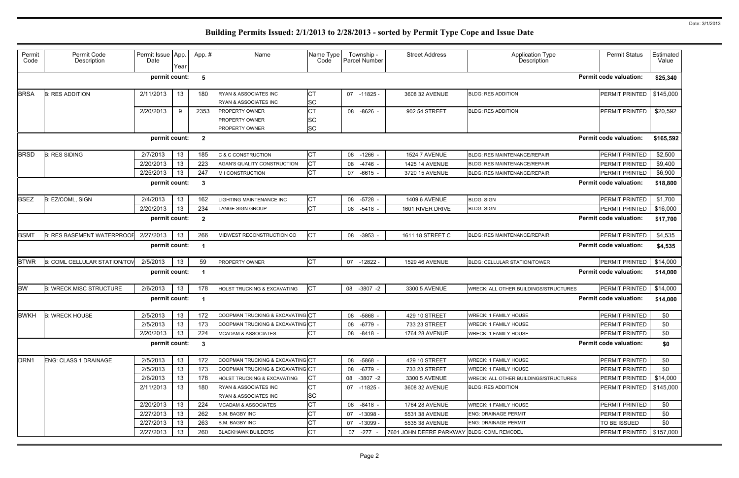| <b>Permit code valuation:</b><br>permit count:<br>\$25,340<br>5<br>2/11/2013<br>13<br>СT<br>\$145,000<br>180<br>RYAN & ASSOCIATES INC<br>PERMIT PRINTED<br><b>B: RES ADDITION</b><br>07<br>-11825 -<br>3608 32 AVENUE<br><b>BLDG: RES ADDITION</b><br><b>SC</b><br>RYAN & ASSOCIATES INC<br><b>CT</b><br>9<br>2/20/2013<br>2353<br><b>PROPERTY OWNER</b><br>\$20,592<br>-8626 -<br>902 54 STREET<br><b>BLDG: RES ADDITION</b><br><b>PERMIT PRINTED</b><br>08<br>SC<br><b>PROPERTY OWNER</b><br><b>SC</b><br><b>PROPERTY OWNER</b><br>permit count:<br><b>Permit code valuation:</b><br>$\overline{2}$<br>\$165,592<br>13<br>СT<br><b>PERMIT PRINTED</b><br>\$2,500<br><b>B: RES SIDING</b><br>2/7/2013<br>185<br><b>C &amp; C CONSTRUCTION</b><br>08<br>$-1266$<br><b>1524 7 AVENUE</b><br><b>BLDG: RES MAINTENANCE/REPAIR</b><br><b>CT</b><br>2/20/2013<br>13<br>223<br>AGAN'S QUALITY CONSTRUCTION<br>$-4746 -$<br>PERMIT PRINTED<br>\$9,400<br>08<br>1425 14 AVENUE<br><b>BLDG: RES MAINTENANCE/REPAIR</b><br><b>CT</b><br>2/25/2013<br>13<br>247<br>PERMIT PRINTED<br>\$6,900<br>$-6615 -$<br>3720 15 AVENUE<br>M I CONSTRUCTION<br>07<br>BLDG: RES MAINTENANCE/REPAIR<br>permit count:<br><b>Permit code valuation:</b><br>-3<br>\$18,800<br>2/4/2013<br>13<br>LIGHTING MAINTENANCE INC<br><b>CT</b><br><b>BLDG: SIGN</b><br>\$1,700<br>B: EZ/COML, SIGN<br>162<br>-5728 -<br><b>PERMIT PRINTED</b><br>08<br><b>1409 6 AVENUE</b><br>Iст<br>2/20/2013<br>13<br>\$16,000<br>234<br><b>PERMIT PRINTED</b><br><b>LANGE SIGN GROUP</b><br>08 -5418 -<br>1601 RIVER DRIVE<br><b>BLDG: SIGN</b><br>permit count:<br><b>Permit code valuation:</b><br>\$17,700<br>$\overline{2}$<br><b>CT</b><br>2/27/2013<br>266<br>MIDWEST RECONSTRUCTION CO<br><b>B: RES BASEMENT WATERPROOF</b><br>13<br>-3953<br>1611 18 STREET C<br><b>BLDG: RES MAINTENANCE/REPAIR</b><br><b>PERMIT PRINTED</b><br>\$4,535<br>08<br>permit count:<br><b>Permit code valuation:</b><br>\$4,535<br><b>CT</b><br><b>B: COML CELLULAR STATION/TOV</b><br>2/5/2013<br>59<br>PROPERTY OWNER<br>PERMIT PRINTED<br>\$14,000<br>13<br>07<br>$-12822 -$<br><b>BLDG: CELLULAR STATION/TOWER</b><br>1529 46 AVENUE<br><b>Permit code valuation:</b><br>permit count:<br>\$14,000<br><b>CT</b><br><b>B: WRECK MISC STRUCTURE</b><br>2/6/2013<br>13<br>178<br>HOLST TRUCKING & EXCAVATING<br>WRECK: ALL OTHER BUILDINGS/STRUCTURES<br>PERMIT PRINTED<br>\$14,000<br>08<br>3300 5 AVENUE<br>$-3807 -2$<br><b>Permit code valuation:</b><br>permit count:<br>\$14,000<br><b>B: WRECK HOUSE</b><br>2/5/2013<br>13<br>COOPMAN TRUCKING & EXCAVATING CT<br><b>WRECK: 1 FAMILY HOUSE</b><br>PERMIT PRINTED<br>\$0<br>172<br>429 10 STREET<br>08 -5868 -<br>2/5/2013<br>13<br>COOPMAN TRUCKING & EXCAVATING CT<br>173<br>\$0<br>08 -6779 -<br>733 23 STREET<br><b>WRECK: 1 FAMILY HOUSE</b><br>PERMIT PRINTED<br><b>CT</b><br>2/20/2013<br>13<br>224<br>\$0<br><b>MCADAM &amp; ASSOCIATES</b><br>08 -8418 -<br><b>WRECK: 1 FAMILY HOUSE</b><br>PERMIT PRINTED<br>1764 28 AVENUE<br>permit count:<br><b>Permit code valuation:</b><br>\$0<br>$\mathbf{3}$<br>2/5/2013<br>13<br>COOPMAN TRUCKING & EXCAVATING CT<br><b>WRECK: 1 FAMILY HOUSE</b><br><b>ENG: CLASS 1 DRAINAGE</b><br>172<br>08 -5868 -<br>429 10 STREET<br>PERMIT PRINTED<br>\$0<br>COOPMAN TRUCKING & EXCAVATING CT<br>2/5/2013<br>13<br>173<br><b>WRECK: 1 FAMILY HOUSE</b><br>\$0<br>08<br>-6779 -<br>733 23 STREET<br>PERMIT PRINTED<br><b>CT</b><br>13<br>2/6/2013<br>HOLST TRUCKING & EXCAVATING<br><b>WRECK: ALL OTHER BUILDINGS/STRUCTURES</b><br>\$14,000<br>178<br>08 -3807 -2<br>3300 5 AVENUE<br>PERMIT PRINTED<br><b>CT</b><br>13<br>2/11/2013<br>180<br>RYAN & ASSOCIATES INC<br><b>BLDG: RES ADDITION</b><br>3608 32 AVENUE<br><b>PERMIT PRINTED</b><br>\$145,000<br>07 -11825 -<br><b>SC</b><br>RYAN & ASSOCIATES INC<br><b>CT</b><br>2/20/2013<br>13<br>224<br>\$0<br>PERMIT PRINTED<br>08 -8418 -<br><b>WRECK: 1 FAMILY HOUSE</b><br><b>MCADAM &amp; ASSOCIATES</b><br>1764 28 AVENUE<br>СT<br>2/27/2013<br>13<br>262<br>07 -13098 -<br>PERMIT PRINTED<br>\$0<br><b>B.M. BAGBY INC</b><br>5531 38 AVENUE<br><b>ENG: DRAINAGE PERMIT</b><br>2/27/2013<br><b>CT</b><br>13<br>263<br>TO BE ISSUED<br>\$0<br><b>B.M. BAGBY INC</b><br>-13099 -<br>5535 38 AVENUE<br><b>ENG: DRAINAGE PERMIT</b><br>07<br><b>CT</b><br>2/27/2013<br>13<br>260<br>PERMIT PRINTED   \$157,000<br><b>BLACKHAWK BUILDERS</b><br>07 -277 -<br>7601 JOHN DEERE PARKWAY BLDG: COML REMODEL | Permit<br>Code   | Permit Code<br>Description | Permit Issue App.<br>Date | Year | App. # | Name | Name Type<br>Code | Township -<br>Parcel Number | <b>Street Address</b> | <b>Application Type</b><br><b>Description</b> | <b>Permit Status</b> | Estimated<br>Value |
|-----------------------------------------------------------------------------------------------------------------------------------------------------------------------------------------------------------------------------------------------------------------------------------------------------------------------------------------------------------------------------------------------------------------------------------------------------------------------------------------------------------------------------------------------------------------------------------------------------------------------------------------------------------------------------------------------------------------------------------------------------------------------------------------------------------------------------------------------------------------------------------------------------------------------------------------------------------------------------------------------------------------------------------------------------------------------------------------------------------------------------------------------------------------------------------------------------------------------------------------------------------------------------------------------------------------------------------------------------------------------------------------------------------------------------------------------------------------------------------------------------------------------------------------------------------------------------------------------------------------------------------------------------------------------------------------------------------------------------------------------------------------------------------------------------------------------------------------------------------------------------------------------------------------------------------------------------------------------------------------------------------------------------------------------------------------------------------------------------------------------------------------------------------------------------------------------------------------------------------------------------------------------------------------------------------------------------------------------------------------------------------------------------------------------------------------------------------------------------------------------------------------------------------------------------------------------------------------------------------------------------------------------------------------------------------------------------------------------------------------------------------------------------------------------------------------------------------------------------------------------------------------------------------------------------------------------------------------------------------------------------------------------------------------------------------------------------------------------------------------------------------------------------------------------------------------------------------------------------------------------------------------------------------------------------------------------------------------------------------------------------------------------------------------------------------------------------------------------------------------------------------------------------------------------------------------------------------------------------------------------------------------------------------------------------------------------------------------------------------------------------------------------------------------------------------------------------------------------------------------------------------------------------------------------------------------------------------------------------------------------------------------------------------------------------------------------------------------------------------------------------------------------------------------------------------------------------------------------------------------------------------------------------------------------------------------------------------------------------------------------------------------------------------------------------------------------------------------------------------------------|------------------|----------------------------|---------------------------|------|--------|------|-------------------|-----------------------------|-----------------------|-----------------------------------------------|----------------------|--------------------|
|                                                                                                                                                                                                                                                                                                                                                                                                                                                                                                                                                                                                                                                                                                                                                                                                                                                                                                                                                                                                                                                                                                                                                                                                                                                                                                                                                                                                                                                                                                                                                                                                                                                                                                                                                                                                                                                                                                                                                                                                                                                                                                                                                                                                                                                                                                                                                                                                                                                                                                                                                                                                                                                                                                                                                                                                                                                                                                                                                                                                                                                                                                                                                                                                                                                                                                                                                                                                                                                                                                                                                                                                                                                                                                                                                                                                                                                                                                                                                                                                                                                                                                                                                                                                                                                                                                                                                                                                                                                                                               |                  |                            |                           |      |        |      |                   |                             |                       |                                               |                      |                    |
|                                                                                                                                                                                                                                                                                                                                                                                                                                                                                                                                                                                                                                                                                                                                                                                                                                                                                                                                                                                                                                                                                                                                                                                                                                                                                                                                                                                                                                                                                                                                                                                                                                                                                                                                                                                                                                                                                                                                                                                                                                                                                                                                                                                                                                                                                                                                                                                                                                                                                                                                                                                                                                                                                                                                                                                                                                                                                                                                                                                                                                                                                                                                                                                                                                                                                                                                                                                                                                                                                                                                                                                                                                                                                                                                                                                                                                                                                                                                                                                                                                                                                                                                                                                                                                                                                                                                                                                                                                                                                               | <b>BRSA</b>      |                            |                           |      |        |      |                   |                             |                       |                                               |                      |                    |
|                                                                                                                                                                                                                                                                                                                                                                                                                                                                                                                                                                                                                                                                                                                                                                                                                                                                                                                                                                                                                                                                                                                                                                                                                                                                                                                                                                                                                                                                                                                                                                                                                                                                                                                                                                                                                                                                                                                                                                                                                                                                                                                                                                                                                                                                                                                                                                                                                                                                                                                                                                                                                                                                                                                                                                                                                                                                                                                                                                                                                                                                                                                                                                                                                                                                                                                                                                                                                                                                                                                                                                                                                                                                                                                                                                                                                                                                                                                                                                                                                                                                                                                                                                                                                                                                                                                                                                                                                                                                                               |                  |                            |                           |      |        |      |                   |                             |                       |                                               |                      |                    |
|                                                                                                                                                                                                                                                                                                                                                                                                                                                                                                                                                                                                                                                                                                                                                                                                                                                                                                                                                                                                                                                                                                                                                                                                                                                                                                                                                                                                                                                                                                                                                                                                                                                                                                                                                                                                                                                                                                                                                                                                                                                                                                                                                                                                                                                                                                                                                                                                                                                                                                                                                                                                                                                                                                                                                                                                                                                                                                                                                                                                                                                                                                                                                                                                                                                                                                                                                                                                                                                                                                                                                                                                                                                                                                                                                                                                                                                                                                                                                                                                                                                                                                                                                                                                                                                                                                                                                                                                                                                                                               |                  |                            |                           |      |        |      |                   |                             |                       |                                               |                      |                    |
|                                                                                                                                                                                                                                                                                                                                                                                                                                                                                                                                                                                                                                                                                                                                                                                                                                                                                                                                                                                                                                                                                                                                                                                                                                                                                                                                                                                                                                                                                                                                                                                                                                                                                                                                                                                                                                                                                                                                                                                                                                                                                                                                                                                                                                                                                                                                                                                                                                                                                                                                                                                                                                                                                                                                                                                                                                                                                                                                                                                                                                                                                                                                                                                                                                                                                                                                                                                                                                                                                                                                                                                                                                                                                                                                                                                                                                                                                                                                                                                                                                                                                                                                                                                                                                                                                                                                                                                                                                                                                               | <b>BRSD</b>      |                            |                           |      |        |      |                   |                             |                       |                                               |                      |                    |
|                                                                                                                                                                                                                                                                                                                                                                                                                                                                                                                                                                                                                                                                                                                                                                                                                                                                                                                                                                                                                                                                                                                                                                                                                                                                                                                                                                                                                                                                                                                                                                                                                                                                                                                                                                                                                                                                                                                                                                                                                                                                                                                                                                                                                                                                                                                                                                                                                                                                                                                                                                                                                                                                                                                                                                                                                                                                                                                                                                                                                                                                                                                                                                                                                                                                                                                                                                                                                                                                                                                                                                                                                                                                                                                                                                                                                                                                                                                                                                                                                                                                                                                                                                                                                                                                                                                                                                                                                                                                                               |                  |                            |                           |      |        |      |                   |                             |                       |                                               |                      |                    |
|                                                                                                                                                                                                                                                                                                                                                                                                                                                                                                                                                                                                                                                                                                                                                                                                                                                                                                                                                                                                                                                                                                                                                                                                                                                                                                                                                                                                                                                                                                                                                                                                                                                                                                                                                                                                                                                                                                                                                                                                                                                                                                                                                                                                                                                                                                                                                                                                                                                                                                                                                                                                                                                                                                                                                                                                                                                                                                                                                                                                                                                                                                                                                                                                                                                                                                                                                                                                                                                                                                                                                                                                                                                                                                                                                                                                                                                                                                                                                                                                                                                                                                                                                                                                                                                                                                                                                                                                                                                                                               |                  |                            |                           |      |        |      |                   |                             |                       |                                               |                      |                    |
|                                                                                                                                                                                                                                                                                                                                                                                                                                                                                                                                                                                                                                                                                                                                                                                                                                                                                                                                                                                                                                                                                                                                                                                                                                                                                                                                                                                                                                                                                                                                                                                                                                                                                                                                                                                                                                                                                                                                                                                                                                                                                                                                                                                                                                                                                                                                                                                                                                                                                                                                                                                                                                                                                                                                                                                                                                                                                                                                                                                                                                                                                                                                                                                                                                                                                                                                                                                                                                                                                                                                                                                                                                                                                                                                                                                                                                                                                                                                                                                                                                                                                                                                                                                                                                                                                                                                                                                                                                                                                               |                  |                            |                           |      |        |      |                   |                             |                       |                                               |                      |                    |
|                                                                                                                                                                                                                                                                                                                                                                                                                                                                                                                                                                                                                                                                                                                                                                                                                                                                                                                                                                                                                                                                                                                                                                                                                                                                                                                                                                                                                                                                                                                                                                                                                                                                                                                                                                                                                                                                                                                                                                                                                                                                                                                                                                                                                                                                                                                                                                                                                                                                                                                                                                                                                                                                                                                                                                                                                                                                                                                                                                                                                                                                                                                                                                                                                                                                                                                                                                                                                                                                                                                                                                                                                                                                                                                                                                                                                                                                                                                                                                                                                                                                                                                                                                                                                                                                                                                                                                                                                                                                                               | <b>BSEZ</b>      |                            |                           |      |        |      |                   |                             |                       |                                               |                      |                    |
|                                                                                                                                                                                                                                                                                                                                                                                                                                                                                                                                                                                                                                                                                                                                                                                                                                                                                                                                                                                                                                                                                                                                                                                                                                                                                                                                                                                                                                                                                                                                                                                                                                                                                                                                                                                                                                                                                                                                                                                                                                                                                                                                                                                                                                                                                                                                                                                                                                                                                                                                                                                                                                                                                                                                                                                                                                                                                                                                                                                                                                                                                                                                                                                                                                                                                                                                                                                                                                                                                                                                                                                                                                                                                                                                                                                                                                                                                                                                                                                                                                                                                                                                                                                                                                                                                                                                                                                                                                                                                               |                  |                            |                           |      |        |      |                   |                             |                       |                                               |                      |                    |
|                                                                                                                                                                                                                                                                                                                                                                                                                                                                                                                                                                                                                                                                                                                                                                                                                                                                                                                                                                                                                                                                                                                                                                                                                                                                                                                                                                                                                                                                                                                                                                                                                                                                                                                                                                                                                                                                                                                                                                                                                                                                                                                                                                                                                                                                                                                                                                                                                                                                                                                                                                                                                                                                                                                                                                                                                                                                                                                                                                                                                                                                                                                                                                                                                                                                                                                                                                                                                                                                                                                                                                                                                                                                                                                                                                                                                                                                                                                                                                                                                                                                                                                                                                                                                                                                                                                                                                                                                                                                                               |                  |                            |                           |      |        |      |                   |                             |                       |                                               |                      |                    |
|                                                                                                                                                                                                                                                                                                                                                                                                                                                                                                                                                                                                                                                                                                                                                                                                                                                                                                                                                                                                                                                                                                                                                                                                                                                                                                                                                                                                                                                                                                                                                                                                                                                                                                                                                                                                                                                                                                                                                                                                                                                                                                                                                                                                                                                                                                                                                                                                                                                                                                                                                                                                                                                                                                                                                                                                                                                                                                                                                                                                                                                                                                                                                                                                                                                                                                                                                                                                                                                                                                                                                                                                                                                                                                                                                                                                                                                                                                                                                                                                                                                                                                                                                                                                                                                                                                                                                                                                                                                                                               | <b>BSMT</b>      |                            |                           |      |        |      |                   |                             |                       |                                               |                      |                    |
|                                                                                                                                                                                                                                                                                                                                                                                                                                                                                                                                                                                                                                                                                                                                                                                                                                                                                                                                                                                                                                                                                                                                                                                                                                                                                                                                                                                                                                                                                                                                                                                                                                                                                                                                                                                                                                                                                                                                                                                                                                                                                                                                                                                                                                                                                                                                                                                                                                                                                                                                                                                                                                                                                                                                                                                                                                                                                                                                                                                                                                                                                                                                                                                                                                                                                                                                                                                                                                                                                                                                                                                                                                                                                                                                                                                                                                                                                                                                                                                                                                                                                                                                                                                                                                                                                                                                                                                                                                                                                               |                  |                            |                           |      |        |      |                   |                             |                       |                                               |                      |                    |
|                                                                                                                                                                                                                                                                                                                                                                                                                                                                                                                                                                                                                                                                                                                                                                                                                                                                                                                                                                                                                                                                                                                                                                                                                                                                                                                                                                                                                                                                                                                                                                                                                                                                                                                                                                                                                                                                                                                                                                                                                                                                                                                                                                                                                                                                                                                                                                                                                                                                                                                                                                                                                                                                                                                                                                                                                                                                                                                                                                                                                                                                                                                                                                                                                                                                                                                                                                                                                                                                                                                                                                                                                                                                                                                                                                                                                                                                                                                                                                                                                                                                                                                                                                                                                                                                                                                                                                                                                                                                                               | <b>BTWR</b>      |                            |                           |      |        |      |                   |                             |                       |                                               |                      |                    |
|                                                                                                                                                                                                                                                                                                                                                                                                                                                                                                                                                                                                                                                                                                                                                                                                                                                                                                                                                                                                                                                                                                                                                                                                                                                                                                                                                                                                                                                                                                                                                                                                                                                                                                                                                                                                                                                                                                                                                                                                                                                                                                                                                                                                                                                                                                                                                                                                                                                                                                                                                                                                                                                                                                                                                                                                                                                                                                                                                                                                                                                                                                                                                                                                                                                                                                                                                                                                                                                                                                                                                                                                                                                                                                                                                                                                                                                                                                                                                                                                                                                                                                                                                                                                                                                                                                                                                                                                                                                                                               |                  |                            |                           |      |        |      |                   |                             |                       |                                               |                      |                    |
|                                                                                                                                                                                                                                                                                                                                                                                                                                                                                                                                                                                                                                                                                                                                                                                                                                                                                                                                                                                                                                                                                                                                                                                                                                                                                                                                                                                                                                                                                                                                                                                                                                                                                                                                                                                                                                                                                                                                                                                                                                                                                                                                                                                                                                                                                                                                                                                                                                                                                                                                                                                                                                                                                                                                                                                                                                                                                                                                                                                                                                                                                                                                                                                                                                                                                                                                                                                                                                                                                                                                                                                                                                                                                                                                                                                                                                                                                                                                                                                                                                                                                                                                                                                                                                                                                                                                                                                                                                                                                               | <b>BW</b>        |                            |                           |      |        |      |                   |                             |                       |                                               |                      |                    |
|                                                                                                                                                                                                                                                                                                                                                                                                                                                                                                                                                                                                                                                                                                                                                                                                                                                                                                                                                                                                                                                                                                                                                                                                                                                                                                                                                                                                                                                                                                                                                                                                                                                                                                                                                                                                                                                                                                                                                                                                                                                                                                                                                                                                                                                                                                                                                                                                                                                                                                                                                                                                                                                                                                                                                                                                                                                                                                                                                                                                                                                                                                                                                                                                                                                                                                                                                                                                                                                                                                                                                                                                                                                                                                                                                                                                                                                                                                                                                                                                                                                                                                                                                                                                                                                                                                                                                                                                                                                                                               |                  |                            |                           |      |        |      |                   |                             |                       |                                               |                      |                    |
|                                                                                                                                                                                                                                                                                                                                                                                                                                                                                                                                                                                                                                                                                                                                                                                                                                                                                                                                                                                                                                                                                                                                                                                                                                                                                                                                                                                                                                                                                                                                                                                                                                                                                                                                                                                                                                                                                                                                                                                                                                                                                                                                                                                                                                                                                                                                                                                                                                                                                                                                                                                                                                                                                                                                                                                                                                                                                                                                                                                                                                                                                                                                                                                                                                                                                                                                                                                                                                                                                                                                                                                                                                                                                                                                                                                                                                                                                                                                                                                                                                                                                                                                                                                                                                                                                                                                                                                                                                                                                               | <b>BWKH</b>      |                            |                           |      |        |      |                   |                             |                       |                                               |                      |                    |
|                                                                                                                                                                                                                                                                                                                                                                                                                                                                                                                                                                                                                                                                                                                                                                                                                                                                                                                                                                                                                                                                                                                                                                                                                                                                                                                                                                                                                                                                                                                                                                                                                                                                                                                                                                                                                                                                                                                                                                                                                                                                                                                                                                                                                                                                                                                                                                                                                                                                                                                                                                                                                                                                                                                                                                                                                                                                                                                                                                                                                                                                                                                                                                                                                                                                                                                                                                                                                                                                                                                                                                                                                                                                                                                                                                                                                                                                                                                                                                                                                                                                                                                                                                                                                                                                                                                                                                                                                                                                                               |                  |                            |                           |      |        |      |                   |                             |                       |                                               |                      |                    |
|                                                                                                                                                                                                                                                                                                                                                                                                                                                                                                                                                                                                                                                                                                                                                                                                                                                                                                                                                                                                                                                                                                                                                                                                                                                                                                                                                                                                                                                                                                                                                                                                                                                                                                                                                                                                                                                                                                                                                                                                                                                                                                                                                                                                                                                                                                                                                                                                                                                                                                                                                                                                                                                                                                                                                                                                                                                                                                                                                                                                                                                                                                                                                                                                                                                                                                                                                                                                                                                                                                                                                                                                                                                                                                                                                                                                                                                                                                                                                                                                                                                                                                                                                                                                                                                                                                                                                                                                                                                                                               |                  |                            |                           |      |        |      |                   |                             |                       |                                               |                      |                    |
|                                                                                                                                                                                                                                                                                                                                                                                                                                                                                                                                                                                                                                                                                                                                                                                                                                                                                                                                                                                                                                                                                                                                                                                                                                                                                                                                                                                                                                                                                                                                                                                                                                                                                                                                                                                                                                                                                                                                                                                                                                                                                                                                                                                                                                                                                                                                                                                                                                                                                                                                                                                                                                                                                                                                                                                                                                                                                                                                                                                                                                                                                                                                                                                                                                                                                                                                                                                                                                                                                                                                                                                                                                                                                                                                                                                                                                                                                                                                                                                                                                                                                                                                                                                                                                                                                                                                                                                                                                                                                               |                  |                            |                           |      |        |      |                   |                             |                       |                                               |                      |                    |
|                                                                                                                                                                                                                                                                                                                                                                                                                                                                                                                                                                                                                                                                                                                                                                                                                                                                                                                                                                                                                                                                                                                                                                                                                                                                                                                                                                                                                                                                                                                                                                                                                                                                                                                                                                                                                                                                                                                                                                                                                                                                                                                                                                                                                                                                                                                                                                                                                                                                                                                                                                                                                                                                                                                                                                                                                                                                                                                                                                                                                                                                                                                                                                                                                                                                                                                                                                                                                                                                                                                                                                                                                                                                                                                                                                                                                                                                                                                                                                                                                                                                                                                                                                                                                                                                                                                                                                                                                                                                                               | DRN <sub>1</sub> |                            |                           |      |        |      |                   |                             |                       |                                               |                      |                    |
|                                                                                                                                                                                                                                                                                                                                                                                                                                                                                                                                                                                                                                                                                                                                                                                                                                                                                                                                                                                                                                                                                                                                                                                                                                                                                                                                                                                                                                                                                                                                                                                                                                                                                                                                                                                                                                                                                                                                                                                                                                                                                                                                                                                                                                                                                                                                                                                                                                                                                                                                                                                                                                                                                                                                                                                                                                                                                                                                                                                                                                                                                                                                                                                                                                                                                                                                                                                                                                                                                                                                                                                                                                                                                                                                                                                                                                                                                                                                                                                                                                                                                                                                                                                                                                                                                                                                                                                                                                                                                               |                  |                            |                           |      |        |      |                   |                             |                       |                                               |                      |                    |
|                                                                                                                                                                                                                                                                                                                                                                                                                                                                                                                                                                                                                                                                                                                                                                                                                                                                                                                                                                                                                                                                                                                                                                                                                                                                                                                                                                                                                                                                                                                                                                                                                                                                                                                                                                                                                                                                                                                                                                                                                                                                                                                                                                                                                                                                                                                                                                                                                                                                                                                                                                                                                                                                                                                                                                                                                                                                                                                                                                                                                                                                                                                                                                                                                                                                                                                                                                                                                                                                                                                                                                                                                                                                                                                                                                                                                                                                                                                                                                                                                                                                                                                                                                                                                                                                                                                                                                                                                                                                                               |                  |                            |                           |      |        |      |                   |                             |                       |                                               |                      |                    |
|                                                                                                                                                                                                                                                                                                                                                                                                                                                                                                                                                                                                                                                                                                                                                                                                                                                                                                                                                                                                                                                                                                                                                                                                                                                                                                                                                                                                                                                                                                                                                                                                                                                                                                                                                                                                                                                                                                                                                                                                                                                                                                                                                                                                                                                                                                                                                                                                                                                                                                                                                                                                                                                                                                                                                                                                                                                                                                                                                                                                                                                                                                                                                                                                                                                                                                                                                                                                                                                                                                                                                                                                                                                                                                                                                                                                                                                                                                                                                                                                                                                                                                                                                                                                                                                                                                                                                                                                                                                                                               |                  |                            |                           |      |        |      |                   |                             |                       |                                               |                      |                    |
|                                                                                                                                                                                                                                                                                                                                                                                                                                                                                                                                                                                                                                                                                                                                                                                                                                                                                                                                                                                                                                                                                                                                                                                                                                                                                                                                                                                                                                                                                                                                                                                                                                                                                                                                                                                                                                                                                                                                                                                                                                                                                                                                                                                                                                                                                                                                                                                                                                                                                                                                                                                                                                                                                                                                                                                                                                                                                                                                                                                                                                                                                                                                                                                                                                                                                                                                                                                                                                                                                                                                                                                                                                                                                                                                                                                                                                                                                                                                                                                                                                                                                                                                                                                                                                                                                                                                                                                                                                                                                               |                  |                            |                           |      |        |      |                   |                             |                       |                                               |                      |                    |
|                                                                                                                                                                                                                                                                                                                                                                                                                                                                                                                                                                                                                                                                                                                                                                                                                                                                                                                                                                                                                                                                                                                                                                                                                                                                                                                                                                                                                                                                                                                                                                                                                                                                                                                                                                                                                                                                                                                                                                                                                                                                                                                                                                                                                                                                                                                                                                                                                                                                                                                                                                                                                                                                                                                                                                                                                                                                                                                                                                                                                                                                                                                                                                                                                                                                                                                                                                                                                                                                                                                                                                                                                                                                                                                                                                                                                                                                                                                                                                                                                                                                                                                                                                                                                                                                                                                                                                                                                                                                                               |                  |                            |                           |      |        |      |                   |                             |                       |                                               |                      |                    |
|                                                                                                                                                                                                                                                                                                                                                                                                                                                                                                                                                                                                                                                                                                                                                                                                                                                                                                                                                                                                                                                                                                                                                                                                                                                                                                                                                                                                                                                                                                                                                                                                                                                                                                                                                                                                                                                                                                                                                                                                                                                                                                                                                                                                                                                                                                                                                                                                                                                                                                                                                                                                                                                                                                                                                                                                                                                                                                                                                                                                                                                                                                                                                                                                                                                                                                                                                                                                                                                                                                                                                                                                                                                                                                                                                                                                                                                                                                                                                                                                                                                                                                                                                                                                                                                                                                                                                                                                                                                                                               |                  |                            |                           |      |        |      |                   |                             |                       |                                               |                      |                    |
|                                                                                                                                                                                                                                                                                                                                                                                                                                                                                                                                                                                                                                                                                                                                                                                                                                                                                                                                                                                                                                                                                                                                                                                                                                                                                                                                                                                                                                                                                                                                                                                                                                                                                                                                                                                                                                                                                                                                                                                                                                                                                                                                                                                                                                                                                                                                                                                                                                                                                                                                                                                                                                                                                                                                                                                                                                                                                                                                                                                                                                                                                                                                                                                                                                                                                                                                                                                                                                                                                                                                                                                                                                                                                                                                                                                                                                                                                                                                                                                                                                                                                                                                                                                                                                                                                                                                                                                                                                                                                               |                  |                            |                           |      |        |      |                   |                             |                       |                                               |                      |                    |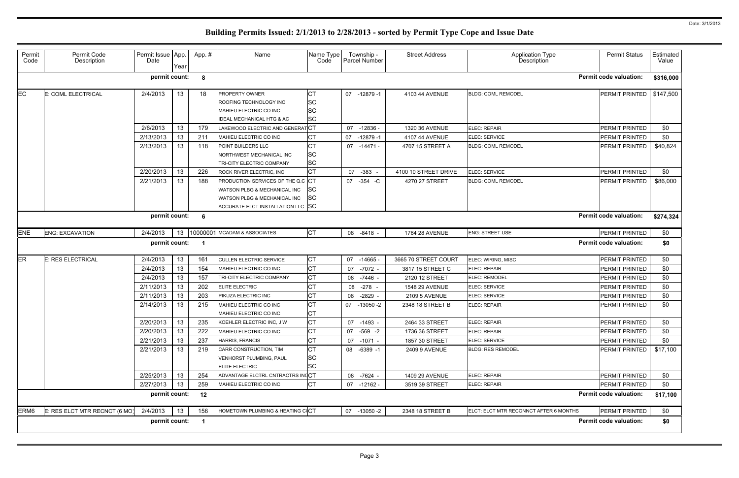| Permit<br>Code   | Permit Code<br>Description    | Permit Issue   App.<br>Date | Year | App.#                   | Name                                                                                                                                          | Name Type<br>Code           | Township -<br>Parcel Number | <b>Street Address</b> | <b>Application Type</b><br><b>Description</b> | <b>Permit Status</b>          | Estimated<br>Value |
|------------------|-------------------------------|-----------------------------|------|-------------------------|-----------------------------------------------------------------------------------------------------------------------------------------------|-----------------------------|-----------------------------|-----------------------|-----------------------------------------------|-------------------------------|--------------------|
|                  |                               | permit count:               |      | 8                       |                                                                                                                                               |                             |                             |                       |                                               | <b>Permit code valuation:</b> | \$316,000          |
| EC               | E: COML ELECTRICAL            | 2/4/2013                    | 13   | 18                      | <b>PROPERTY OWNER</b><br>ROOFING TECHNOLOGY INC<br>MAHIEU ELECTRIC CO INC<br><b>IDEAL MECHANICAL HTG &amp; AC</b>                             | СT<br>SC<br>SC<br><b>SC</b> | 07<br>$-12879-1$            | 4103 44 AVENUE        | <b>BLDG: COML REMODEL</b>                     | PERMIT PRINTED                | \$147,500          |
|                  |                               | 2/6/2013                    | 13   | 179                     | LAKEWOOD ELECTRIC AND GENERATCT                                                                                                               |                             | -12836 -<br>07              | 1320 36 AVENUE        | <b>ELEC: REPAIR</b>                           | <b>PERMIT PRINTED</b>         | \$0                |
|                  |                               | 2/13/2013                   | 13   | 211                     | MAHIEU ELECTRIC CO INC                                                                                                                        | СT                          | 07<br>$-12879 - 1$          | 4107 44 AVENUE        | ELEC: SERVICE                                 | PERMIT PRINTED                | \$0                |
|                  |                               | 2/13/2013                   | 13   | 118                     | POINT BUILDERS LLC<br>NORTHWEST MECHANICAL INC<br>TRI-CITY ELECTRIC COMPANY                                                                   | SC<br><b>SC</b>             | 07 -14471 -                 | 4707 15 STREET A      | <b>BLDG: COML REMODEL</b>                     | PERMIT PRINTED                | \$40,824           |
|                  |                               | 2/20/2013                   | 13   | 226                     | ROCK RIVER ELECTRIC, INC                                                                                                                      | СT                          | $-383 -$<br>07              | 4100 10 STREET DRIVE  | ELEC: SERVICE                                 | <b>PERMIT PRINTED</b>         | \$0                |
|                  |                               | 2/21/2013                   | 13   | 188                     | <b>PRODUCTION SERVICES OF THE Q.C CT</b><br>WATSON PLBG & MECHANICAL INC<br>WATSON PLBG & MECHANICAL INC<br>ACCURATE ELCT INSTALLATION LLC SC | lSC<br><b>SC</b>            | 07 - 354 - C                | 4270 27 STREET        | <b>BLDG: COML REMODEL</b>                     | PERMIT PRINTED                | \$86,000           |
|                  |                               | permit count:               |      | - 6                     |                                                                                                                                               |                             |                             |                       |                                               | <b>Permit code valuation:</b> | \$274,324          |
| <b>ENE</b>       | <b>ENG: EXCAVATION</b>        | 2/4/2013                    | 13   |                         | 10000001 MCADAM & ASSOCIATES                                                                                                                  | <b>CT</b>                   | 08 -8418 -                  | 1764 28 AVENUE        | <b>ENG: STREET USE</b>                        | PERMIT PRINTED                | \$0                |
|                  |                               | permit count:               |      |                         |                                                                                                                                               |                             |                             |                       |                                               | <b>Permit code valuation:</b> | \$0                |
| <b>ER</b>        | <b>E: RES ELECTRICAL</b>      | 2/4/2013                    | 13   | 161                     | <b>CULLEN ELECTRIC SERVICE</b>                                                                                                                | <b>CT</b>                   | 07<br>$-14665 -$            | 3665 70 STREET COURT  | ELEC: WIRING, MISC                            | PERMIT PRINTED                | \$0                |
|                  |                               | 2/4/2013                    | 13   | 154                     | MAHIEU ELECTRIC CO INC                                                                                                                        | СT                          | $-7072 -$<br>07             | 3817 15 STREET C      | <b>ELEC: REPAIR</b>                           | <b>PERMIT PRINTED</b>         | \$0                |
|                  |                               | 2/4/2013                    | 13   | 157                     | TRI-CITY ELECTRIC COMPANY                                                                                                                     | СT                          | $-7446 -$<br>08             | 2120 12 STREET        | <b>ELEC: REMODEL</b>                          | <b>PERMIT PRINTED</b>         | \$0                |
|                  |                               | 2/11/2013                   | 13   | 202                     | <b>ELITE ELECTRIC</b>                                                                                                                         | СT                          | $-278 -$<br>08              | 1548 29 AVENUE        | ELEC: SERVICE                                 | <b>PERMIT PRINTED</b>         | \$0                |
|                  |                               | 2/11/2013                   | 13   | 203                     | PIKUZA ELECTRIC INC                                                                                                                           | CТ                          | $-2829 -$<br>08             | <b>2109 5 AVENUE</b>  | ELEC: SERVICE                                 | <b>PERMIT PRINTED</b>         | \$0                |
|                  |                               | 2/14/2013                   | 13   | 215                     | MAHIEU ELECTRIC CO INC<br>MAHIEU ELECTRIC CO INC                                                                                              | СT<br>СT                    | 07<br>-13050 -2             | 2348 18 STREET B      | <b>ELEC: REPAIR</b>                           | <b>PERMIT PRINTED</b>         | \$0                |
|                  |                               | 2/20/2013                   | 13   | 235                     | KOEHLER ELECTRIC INC, J W                                                                                                                     | СT                          | 07 -1493 -                  | 2464 33 STREET        | ELEC: REPAIR                                  | <b>PERMIT PRINTED</b>         | \$0                |
|                  |                               | 2/20/2013                   | 13   | 222                     | MAHIEU ELECTRIC CO INC                                                                                                                        | CТ                          | 07 -569 -2                  | 1736 36 STREET        | ELEC: REPAIR                                  | PERMIT PRINTED                | \$0                |
|                  |                               | 2/21/2013                   | 13   | 237                     | HARRIS, FRANCIS                                                                                                                               | СT                          | $-1071 -$<br>07             | 1857 30 STREET        | ELEC: SERVICE                                 | PERMIT PRINTED                | \$0                |
|                  |                               | 2/21/2013                   | 13   | 219                     | CARR CONSTRUCTION, TIM<br>VENHORST PLUMBING, PAUL<br>ELITE ELECTRIC                                                                           | CТ<br><b>SC</b><br>SC       | 08 -6389 -1                 | <b>2409 9 AVENUE</b>  | <b>BLDG: RES REMODEL</b>                      | <b>PERMIT PRINTED</b>         | \$17,100           |
|                  |                               | 2/25/2013                   | 13   | 254                     | ADVANTAGE ELCTRL CNTRACTRS INCCT                                                                                                              |                             | 08 -7624 -                  | 1409 29 AVENUE        | ELEC: REPAIR                                  | PERMIT PRINTED                | \$0                |
|                  |                               | 2/27/2013                   | 13   | 259                     | MAHIEU ELECTRIC CO INC                                                                                                                        | <b>CT</b>                   | 07 -12162 -                 | 3519 39 STREET        | ELEC: REPAIR                                  | PERMIT PRINTED                | \$0                |
|                  |                               | permit count:               |      | 12                      |                                                                                                                                               |                             |                             |                       |                                               | <b>Permit code valuation:</b> | \$17,100           |
| ERM <sub>6</sub> | E: RES ELCT MTR RECNCT (6 MO) | 2/4/2013                    | 13   | 156                     | HOMETOWN PLUMBING & HEATING CICT                                                                                                              |                             | 07 -13050 -2                | 2348 18 STREET B      | ELCT: ELCT MTR RECONNCT AFTER 6 MONTHS        | <b>PERMIT PRINTED</b>         | \$0                |
|                  |                               | permit count:               |      | $\overline{\mathbf{1}}$ |                                                                                                                                               |                             |                             |                       |                                               | <b>Permit code valuation:</b> | \$0                |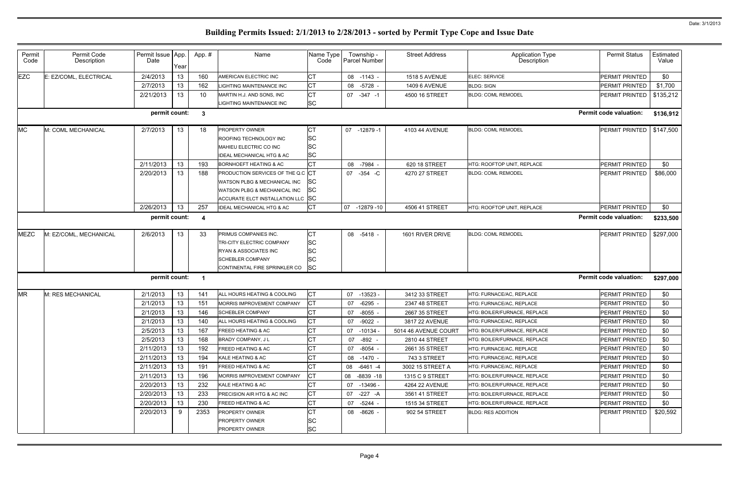| Permit<br>Code | Permit Code<br>Description | Permit Issue   App.<br>Date | Year | App.#        | Name                                 | Name Type<br>Code | Township -<br>Parcel Number | <b>Street Address</b> | <b>Application Type</b><br>Description | <b>Permit Status</b>          | Estimated<br>Value |
|----------------|----------------------------|-----------------------------|------|--------------|--------------------------------------|-------------------|-----------------------------|-----------------------|----------------------------------------|-------------------------------|--------------------|
| <b>EZC</b>     | E: EZ/COML, ELECTRICAL     | 2/4/2013                    | 13   | 160          | AMERICAN ELECTRIC INC                | СT                | $-1143 -$<br>08             | <b>1518 5 AVENUE</b>  | ELEC: SERVICE                          | PERMIT PRINTED                | \$0                |
|                |                            | 2/7/2013                    | 13   | 162          | <b>LIGHTING MAINTENANCE INC</b>      | CT                | $-5728 -$<br>08             | <b>1409 6 AVENUE</b>  | <b>BLDG: SIGN</b>                      | PERMIT PRINTED                | \$1,700            |
|                |                            | 2/21/2013                   | 13   | 10           | MARTIN H.J. AND SONS, INC            | СT                | 07 -347 -1                  | 4500 16 STREET        | <b>BLDG: COML REMODEL</b>              | PERMIT PRINTED                | \$135,212          |
|                |                            |                             |      |              | LIGHTING MAINTENANCE INC             | <b>SC</b>         |                             |                       |                                        |                               |                    |
|                |                            | permit count:               |      | $\mathbf{3}$ |                                      |                   |                             |                       |                                        | Permit code valuation:        | \$136,912          |
| <b>MC</b>      | M: COML MECHANICAL         | 2/7/2013                    | 13   | 18           | <b>PROPERTY OWNER</b>                | СT                | 07<br>$-12879-1$            | 4103 44 AVENUE        | <b>BLDG: COML REMODEL</b>              | PERMIT PRINTED                | \$147,500          |
|                |                            |                             |      |              | ROOFING TECHNOLOGY INC               | SC                |                             |                       |                                        |                               |                    |
|                |                            |                             |      |              | MAHIEU ELECTRIC CO INC               | SC                |                             |                       |                                        |                               |                    |
|                |                            |                             |      |              | <b>IDEAL MECHANICAL HTG &amp; AC</b> | SC                |                             |                       |                                        |                               |                    |
|                |                            | 2/11/2013                   | 13   | 193          | <b>BORNHOEFT HEATING &amp; AC</b>    | СT                | $-7984$ .<br>08             | 620 18 STREET         | HTG: ROOFTOP UNIT, REPLACE             | PERMIT PRINTED                | \$0                |
|                |                            | 2/20/2013                   | 13   | 188          | PRODUCTION SERVICES OF THE Q.C CT    |                   | 07 - 354 - C                | 4270 27 STREET        | <b>BLDG: COML REMODEL</b>              | PERMIT PRINTED                | \$86,000           |
|                |                            |                             |      |              | WATSON PLBG & MECHANICAL INC         | SС                |                             |                       |                                        |                               |                    |
|                |                            |                             |      |              | WATSON PLBG & MECHANICAL INC         | SC                |                             |                       |                                        |                               |                    |
|                |                            |                             |      |              | ACCURATE ELCT INSTALLATION LLC SC    |                   |                             |                       |                                        |                               |                    |
|                |                            | 2/26/2013                   | 13   | 257          | <b>IDEAL MECHANICAL HTG &amp; AC</b> | СT                | 07 -12879 -10               | 4506 41 STREET        | HTG: ROOFTOP UNIT, REPLACE             | PERMIT PRINTED                | \$0                |
|                |                            | permit count:               |      |              |                                      |                   |                             |                       |                                        | <b>Permit code valuation:</b> | \$233,500          |
| <b>MEZC</b>    | M: EZ/COML, MECHANICAL     | 2/6/2013                    | 13   | 33           | PRIMUS COMPANIES INC.                | CТ                | 08 -5418 -                  | 1601 RIVER DRIVE      | <b>BLDG: COML REMODEL</b>              | <b>PERMIT PRINTED</b>         | \$297,000          |
|                |                            |                             |      |              | TRI-CITY ELECTRIC COMPANY            | <b>SC</b>         |                             |                       |                                        |                               |                    |
|                |                            |                             |      |              | RYAN & ASSOCIATES INC                | <b>SC</b>         |                             |                       |                                        |                               |                    |
|                |                            |                             |      |              | <b>SCHEBLER COMPANY</b>              | SC                |                             |                       |                                        |                               |                    |
|                |                            |                             |      |              | CONTINENTAL FIRE SPRINKLER CO        | <b>SC</b>         |                             |                       |                                        |                               |                    |
|                |                            | permit count:               |      | -1           |                                      |                   |                             |                       |                                        | <b>Permit code valuation:</b> | \$297,000          |
| <b>MR</b>      | M: RES MECHANICAL          | 2/1/2013                    | 13   | 141          | ALL HOURS HEATING & COOLING          | СT                | 07<br>$-13523 -$            | 3412 33 STREET        | HTG: FURNACE/AC, REPLACE               | PERMIT PRINTED                | \$0                |
|                |                            | 2/1/2013                    | 13   | 151          | MORRIS IMPROVEMENT COMPANY           | СT                | $-6295$<br>07               | 2347 48 STREET        | HTG: FURNACE/AC, REPLACE               | PERMIT PRINTED                | \$0                |
|                |                            | 2/1/2013                    | 13   | 146          | <b>SCHEBLER COMPANY</b>              | СT                | -8055 -<br>07               | 2667 35 STREET        | HTG: BOILER/FURNACE, REPLACE           | PERMIT PRINTED                | \$0                |
|                |                            | 2/1/2013                    | 13   | 140          | ALL HOURS HEATING & COOLING          | <b>ICT</b>        | -9022 -<br>07               | 3817 22 AVENUE        | HTG: FURNACE/AC, REPLACE               | <b>PERMIT PRINTED</b>         | \$0                |
|                |                            | 2/5/2013                    | 13   | 167          | <b>FREED HEATING &amp; AC</b>        | СT                | 07 -10134 -                 | 5014 46 AVENUE COURT  | HTG: BOILER/FURNACE. REPLACE           | PERMIT PRINTED                | \$0                |
|                |                            | 2/5/2013                    | 13   | 168          | <b>BRADY COMPANY, JL</b>             | СT                | $-892 -$<br>07              | 2810 44 STREET        | HTG: BOILER/FURNACE. REPLACE           | <b>PERMIT PRINTED</b>         | \$0                |
|                |                            | 2/11/2013                   | 13   | 192          | <b>FREED HEATING &amp; AC</b>        | СT                | -8054 -<br>07               | 2661 35 STREET        | HTG: FURNACE/AC. REPLACE               | <b>PERMIT PRINTED</b>         | \$0                |
|                |                            | 2/11/2013                   | 13   | 194          | KALE HEATING & AC                    | СT                | -1470 -<br>08               | 743 3 STREET          | HTG: FURNACE/AC, REPLACE               | PERMIT PRINTED                | \$0                |
|                |                            | 2/11/2013                   | 13   | 191          | <b>FREED HEATING &amp; AC</b>        | СT                | 08 -6461 -4                 | 3002 15 STREET A      | HTG: FURNACE/AC. REPLACE               | PERMIT PRINTED                | \$0                |
|                |                            | 2/11/2013                   | 13   | 196          | MORRIS IMPROVEMENT COMPANY           | СT                | -8839 -18<br>08             | 1315 C 9 STREET       | HTG: BOILER/FURNACE, REPLACE           | PERMIT PRINTED                | \$0                |
|                |                            | 2/20/2013                   | 13   | 232          | KALE HEATING & AC                    | СT                | 07 -13496 -                 | 4264 22 AVENUE        | HTG: BOILER/FURNACE, REPLACE           | <b>PERMIT PRINTED</b>         | \$0                |
|                |                            | 2/20/2013                   | 13   | 233          | PRECISION AIR HTG & AC INC           | СT                | -227 -A<br>07               | 3561 41 STREET        | HTG: BOILER/FURNACE, REPLACE           | <b>PERMIT PRINTED</b>         | \$0                |
|                |                            | 2/20/2013                   | 13   | 230          | <b>FREED HEATING &amp; AC</b>        | СT                | 07<br>-5244 -               | 1515 34 STREET        | HTG: BOILER/FURNACE, REPLACE           | PERMIT PRINTED                | \$0                |
|                |                            | 2/20/2013                   | 9    | 2353         | <b>PROPERTY OWNER</b>                | СT                | -8626 -<br>08               | 902 54 STREET         | <b>BLDG: RES ADDITION</b>              | <b>PERMIT PRINTED</b>         | \$20,592           |
|                |                            |                             |      |              | <b>PROPERTY OWNER</b>                | <b>SC</b>         |                             |                       |                                        |                               |                    |
|                |                            |                             |      |              | <b>PROPERTY OWNER</b>                | <b>SC</b>         |                             |                       |                                        |                               |                    |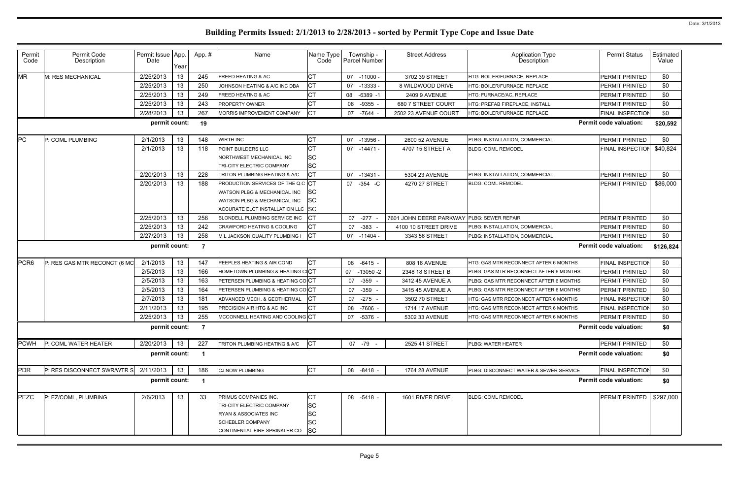| Permit<br>Code   | Permit Code<br>Description   | Permit Issue App.<br>Date | Year | App. # | Name                                         | Name Type<br>Code |    | Township -<br>Parcel Number | <b>Street Address</b>   | Application Type<br>Description              | <b>Permit Status</b>          | Estimated<br>Value |
|------------------|------------------------------|---------------------------|------|--------|----------------------------------------------|-------------------|----|-----------------------------|-------------------------|----------------------------------------------|-------------------------------|--------------------|
| <b>MR</b>        | M: RES MECHANICAL            | 2/25/2013                 | 13   | 245    | <b>FREED HEATING &amp; AC</b>                | СT                |    | 07 -11000 -                 | 3702 39 STREET          | HTG: BOILER/FURNACE, REPLACE                 | PERMIT PRINTED                | \$0                |
|                  |                              | 2/25/2013                 | 13   | 250    | JOHNSON HEATING & A/C INC DBA                | СT                | 07 | $-13333-$                   | 8 WILDWOOD DRIVE        | HTG: BOILER/FURNACE, REPLACE                 | PERMIT PRINTED                | \$0                |
|                  |                              | 2/25/2013                 | 13   | 249    | <b>FREED HEATING &amp; AC</b>                | СT                | 08 | $-6389 - 1$                 | 2409 9 AVENUE           | HTG: FURNACE/AC, REPLACE                     | PERMIT PRINTED                | \$0                |
|                  |                              | 2/25/2013                 | 13   | 243    | PROPERTY OWNER                               | СT                | 08 | $-9355$                     | 680 7 STREET COURT      | HTG: PREFAB FIREPLACE, INSTALL               | PERMIT PRINTED                | \$0                |
|                  |                              | 2/28/2013                 | 13   | 267    | MORRIS IMPROVEMENT COMPANY                   | СT                | 07 | -7644 -                     | 2502 23 AVENUE COURT    | HTG: BOILER/FURNACE, REPLACE                 | FINAL INSPECTION              | \$0                |
|                  |                              | permit count:             |      | 19     |                                              |                   |    |                             |                         |                                              | <b>Permit code valuation:</b> | \$20,592           |
| PC               | P: COML PLUMBING             | 2/1/2013                  | 13   | 148    | <b>WIRTH INC</b>                             | CТ                | 07 | -13956 -                    | 2600 52 AVENUE          | PLBG: INSTALLATION, COMMERCIAL               | PERMIT PRINTED                | \$0                |
|                  |                              | 2/1/2013                  | 13   | 118    | POINT BUILDERS LLC                           | CТ                |    | 07 -14471 -                 | 4707 15 STREET A        | <b>BLDG: COML REMODEL</b>                    | FINAL INSPECTION              | \$40,824           |
|                  |                              |                           |      |        | NORTHWEST MECHANICAL INC                     | SC                |    |                             |                         |                                              |                               |                    |
|                  |                              |                           |      |        | TRI-CITY ELECTRIC COMPANY                    | <b>SC</b>         |    |                             |                         |                                              |                               |                    |
|                  |                              | 2/20/2013                 | 13   | 228    | TRITON PLUMBING HEATING & A/C                | СT                | 07 | $-13431 -$                  | 5304 23 AVENUE          | PLBG: INSTALLATION, COMMERCIAL               | PERMIT PRINTED                | \$0                |
|                  |                              | 2/20/2013                 | 13   | 188    | PRODUCTION SERVICES OF THE Q.C CT            |                   | 07 | $-354$ $-C$                 | 4270 27 STREET          | <b>BLDG: COML REMODEL</b>                    | PERMIT PRINTED                | \$86,000           |
|                  |                              |                           |      |        | WATSON PLBG & MECHANICAL INC                 | ISC               |    |                             |                         |                                              |                               |                    |
|                  |                              |                           |      |        | WATSON PLBG & MECHANICAL INC                 | lSC               |    |                             |                         |                                              |                               |                    |
|                  |                              |                           |      |        | ACCURATE ELCT INSTALLATION LLC SC            |                   |    |                             |                         |                                              |                               |                    |
|                  |                              | 2/25/2013                 | 13   | 256    | BLONDELL PLUMBING SERVICE INC                | СT                | 07 | $-277$                      | 7601 JOHN DEERE PARKWAY | <b>PLBG: SEWER REPAIR</b>                    | PERMIT PRINTED                | \$0                |
|                  |                              | 2/25/2013                 | 13   | 242    | <b>CRAWFORD HEATING &amp; COOLING</b>        | СT                | 07 | -383                        | 4100 10 STREET DRIVE    | PLBG: INSTALLATION, COMMERCIAL               | PERMIT PRINTED                | \$0                |
|                  |                              | 2/27/2013                 | 13   | 258    | M L JACKSON QUALITY PLUMBING I               | IСТ               |    | 07 -11404 -                 | 3343 56 STREET          | PLBG: INSTALLATION, COMMERCIAL               | PERMIT PRINTED                | \$0                |
|                  |                              | permit count:             |      | -7     |                                              |                   |    |                             |                         |                                              | <b>Permit code valuation:</b> | \$126,824          |
| PCR <sub>6</sub> | P: RES GAS MTR RECONCT (6 MC | 2/1/2013                  | 13   | 147    | PEEPLES HEATING & AIR COND                   | CТ                | 08 | $-6415 -$                   | 808 16 AVENUE           | HTG: GAS MTR RECONNECT AFTER 6 MONTHS        | <b>FINAL INSPECTION</b>       | \$0                |
|                  |                              | 2/5/2013                  | 13   | 166    | <b>HOMETOWN PLUMBING &amp; HEATING CICT</b>  |                   | 07 | -13050 -2                   | 2348 18 STREET B        | PLBG: GAS MTR RECONNECT AFTER 6 MONTHS       | PERMIT PRINTED                | \$0                |
|                  |                              | 2/5/2013                  | 13   | 163    | PETERSEN PLUMBING & HEATING COCT             |                   | 07 | -359                        | 3412 45 AVENUE A        | PLBG: GAS MTR RECONNECT AFTER 6 MONTHS       | PERMIT PRINTED                | \$0                |
|                  |                              | 2/5/2013                  | 13   | 164    | <b>PETERSEN PLUMBING &amp; HEATING COICT</b> |                   | 07 | -359                        | 3415 45 AVENUE A        | PLBG: GAS MTR RECONNECT AFTER 6 MONTHS       | PERMIT PRINTED                | \$0                |
|                  |                              | 2/7/2013                  | 13   | 181    | ADVANCED MECH. & GEOTHERMAL                  | IСT               | 07 | -275                        | 3502 70 STREET          | HTG: GAS MTR RECONNECT AFTER 6 MONTHS        | <b>FINAL INSPECTION</b>       | \$0                |
|                  |                              | 2/11/2013                 | 13   | 195    | PRECISION AIR HTG & AC INC                   | CТ                | 08 | $-7606 -$                   | 1714 17 AVENUE          | <b>HTG: GAS MTR RECONNECT AFTER 6 MONTHS</b> | FINAL INSPECTION              | \$0                |
|                  |                              | 2/25/2013                 | 13   | 255    | MCCONNELL HEATING AND COOLING CT             |                   |    | 07 -5376 -                  | 5302 33 AVENUE          | HTG: GAS MTR RECONNECT AFTER 6 MONTHS        | PERMIT PRINTED                | \$0                |
|                  |                              | permit count:             |      | 7      |                                              |                   |    |                             |                         |                                              | <b>Permit code valuation:</b> | \$0                |
| <b>PCWH</b>      | P: COML WATER HEATER         | 2/20/2013                 | 13   | 227    | TRITON PLUMBING HEATING & A/C                | <b>ICT</b>        |    | 07 -79 -                    | 2525 41 STREET          | PLBG: WATER HEATER                           | PERMIT PRINTED                | \$0                |
|                  |                              | permit count:             |      |        |                                              |                   |    |                             |                         |                                              | <b>Permit code valuation:</b> | \$0                |
| PDR              | P: RES DISCONNECT SWR/WTR S  | 2/11/2013                 | 13   | 186    | <b>CJ NOW PLUMBING</b>                       | <b>CT</b>         |    | 08 -8418 -                  | 1764 28 AVENUE          | PLBG: DISCONNECT WATER & SEWER SERVICE       | <b>FINAL INSPECTION</b>       | \$0                |
|                  |                              | permit count:             |      |        |                                              |                   |    |                             |                         |                                              | <b>Permit code valuation:</b> | \$0                |
| PEZC             | P: EZ/COML, PLUMBING         | 2/6/2013                  | 13   | 33     | PRIMUS COMPANIES INC.                        | CТ                |    | 08 -5418 -                  | 1601 RIVER DRIVE        | <b>BLDG: COML REMODEL</b>                    | PERMIT PRINTED                | \$297,000          |
|                  |                              |                           |      |        | TRI-CITY ELECTRIC COMPANY                    | <b>SC</b>         |    |                             |                         |                                              |                               |                    |
|                  |                              |                           |      |        | <b>RYAN &amp; ASSOCIATES INC</b>             | SC                |    |                             |                         |                                              |                               |                    |
|                  |                              |                           |      |        | <b>SCHEBLER COMPANY</b>                      | SC                |    |                             |                         |                                              |                               |                    |
|                  |                              |                           |      |        | CONTINENTAL FIRE SPRINKLER CO                | <b>SC</b>         |    |                             |                         |                                              |                               |                    |
|                  |                              |                           |      |        |                                              |                   |    |                             |                         |                                              |                               |                    |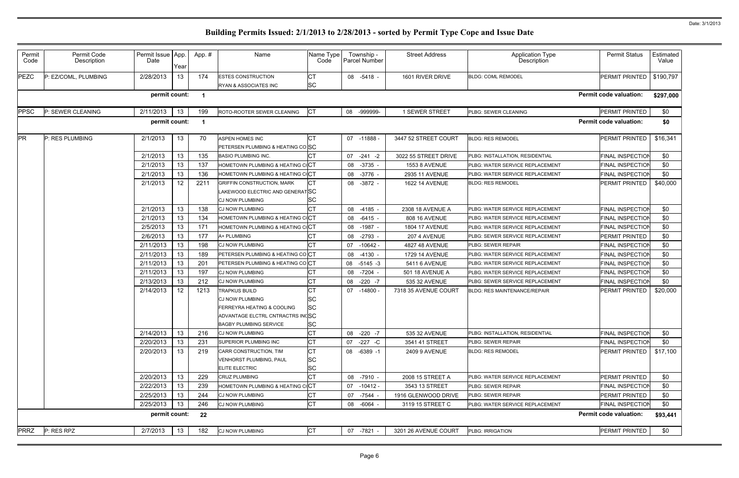|             |                      | Date          | Year |      | Name                                        | Name Type<br>Code | Township -<br>Parcel Number | <b>Street Address</b>  | <b>Application Type</b><br><b>Description</b> | <b>Permit Status</b>          | Estimated<br>Value |
|-------------|----------------------|---------------|------|------|---------------------------------------------|-------------------|-----------------------------|------------------------|-----------------------------------------------|-------------------------------|--------------------|
| <b>PEZC</b> | P: EZ/COML, PLUMBING | 2/28/2013     | 13   | 174  | <b>ESTES CONSTRUCTION</b>                   | <b>CT</b>         | 08 -5418 -                  | 1601 RIVER DRIVE       | <b>BLDG: COML REMODEL</b>                     | PERMIT PRINTED                | \$190,797          |
|             |                      |               |      |      | RYAN & ASSOCIATES INC                       | <b>SC</b>         |                             |                        |                                               |                               |                    |
|             |                      | permit count: |      | - 1  |                                             |                   |                             |                        |                                               | <b>Permit code valuation:</b> | \$297,000          |
| <b>PPSC</b> | P: SEWER CLEANING    | 2/11/2013     | 13   | 199  | ROTO-ROOTER SEWER CLEANING                  | СT                | -999999-<br>08              | 1 SEWER STREET         | PLBG: SEWER CLEANING                          | PERMIT PRINTED                | \$0                |
|             |                      | permit count: |      | -1   |                                             |                   |                             |                        |                                               | <b>Permit code valuation:</b> | \$0                |
| <b>PR</b>   | P: RES PLUMBING      | 2/1/2013      | 13   | 70   | <b>ASPEN HOMES INC</b>                      | CT                | 07 -11888 -                 | 3447 52 STREET COURT   | <b>BLDG: RES REMODEL</b>                      | <b>PERMIT PRINTED</b>         | \$16,341           |
|             |                      |               |      |      | PETERSEN PLUMBING & HEATING COSC            |                   |                             |                        |                                               |                               |                    |
|             |                      | 2/1/2013      | 13   | 135  | <b>BASIO PLUMBING INC.</b>                  |                   | 07<br>$-241 -2$             | 3022 55 STREET DRIVE   | PLBG: INSTALLATION, RESIDENTIAL               | FINAL INSPECTION              | \$0                |
|             |                      | 2/1/2013      | 13   | 137  | HOMETOWN PLUMBING & HEATING COCT            |                   | 08<br>$-3735 -$             | <b>1553 8 AVENUE</b>   | PLBG: WATER SERVICE REPLACEMENT               | <b>FINAL INSPECTION</b>       | \$0                |
|             |                      | 2/1/2013      | 13   | 136  | <b>HOMETOWN PLUMBING &amp; HEATING CICT</b> |                   | $-3776 -$<br>08             | 2935 11 AVENUE         | PLBG: WATER SERVICE REPLACEMENT               | <b>FINAL INSPECTION</b>       | \$0                |
|             |                      | 2/1/2013      | 12   | 2211 | <b>GRIFFIN CONSTRUCTION, MARK</b>           | СT                | $-3872 -$<br>08             | 1622 14 AVENUE         | <b>BLDG: RES REMODEL</b>                      | PERMIT PRINTED                | \$40,000           |
|             |                      |               |      |      | LAKEWOOD ELECTRIC AND GENERATISC            |                   |                             |                        |                                               |                               |                    |
|             |                      |               |      |      | <b>CJ NOW PLUMBING</b>                      | <b>SC</b>         |                             |                        |                                               |                               |                    |
|             |                      | 2/1/2013      | 13   | 138  | CJ NOW PLUMBING                             | <b>CT</b>         | 08<br>$-4185 -$             | 2308 18 AVENUE A       | PLBG: WATER SERVICE REPLACEMENT               | <b>FINAL INSPECTION</b>       | \$0                |
|             |                      | 2/1/2013      | 13   | 134  | HOMETOWN PLUMBING & HEATING CICT            |                   | $-6415 -$<br>08             | 808 16 AVENUE          | PLBG: WATER SERVICE REPLACEMENT               | FINAL INSPECTION              | \$0                |
|             |                      | 2/5/2013      | 13   | 171  | HOMETOWN PLUMBING & HEATING CICT            |                   | $-1987$<br>08               | <b>1804 17 AVENUE</b>  | PLBG: WATER SERVICE REPLACEMENT               | <b>FINAL INSPECTION</b>       | \$0                |
|             |                      | 2/6/2013      | 13   | 177  | A+ PLUMBING                                 | СT                | $-2793 -$<br>08             | 207 4 AVENUE           | PLBG: SEWER SERVICE REPLACEMENT               | PERMIT PRINTED                | \$0                |
|             |                      | 2/11/2013     | 13   | 198  | <b>CJ NOW PLUMBING</b>                      | <b>CT</b>         | 07<br>$-10642 -$            | 4827 48 AVENUE         | <b>PLBG: SEWER REPAIR</b>                     | <b>FINAL INSPECTION</b>       | \$0                |
|             |                      | 2/11/2013     | 13   | 189  | PETERSEN PLUMBING & HEATING COCT            |                   | $-4130 -$<br>08             | <b>1729 14 AVENUE</b>  | PLBG: WATER SERVICE REPLACEMENT               | <b>FINAL INSPECTION</b>       | \$0                |
|             |                      | 2/11/2013     | 13   | 201  | PETERSEN PLUMBING & HEATING COCT            |                   | 08<br>$-5145 - 3$           | 5411 6 AVENUE          | PLBG: WATER SERVICE REPLACEMENT               | <b>FINAL INSPECTION</b>       | \$0                |
|             |                      | 2/11/2013     | 13   | 197  | <b>CJ NOW PLUMBING</b>                      | СT                | $-7204 -$<br>08             | <b>501 18 AVENUE A</b> | PLBG: WATER SERVICE REPLACEMENT               | <b>FINAL INSPECTION</b>       | \$0                |
|             |                      | 2/13/2013     | 13   | 212  | <b>CJ NOW PLUMBING</b>                      | <b>CT</b>         | $-220 - 7$<br>08            | 535 32 AVENUE          | PLBG: SEWER SERVICE REPLACEMENT               | <b>FINAL INSPECTION</b>       | \$0                |
|             |                      | 2/14/2013     | 12   | 1213 | <b>TRAPKUS BUILD</b>                        | <b>CT</b>         | 07<br>$-14800 -$            | 7318 35 AVENUE COURT   | <b>BLDG: RES MAINTENANCE/REPAIR</b>           | PERMIT PRINTED                | \$20,000           |
|             |                      |               |      |      | <b>CJ NOW PLUMBING</b>                      | SC                |                             |                        |                                               |                               |                    |
|             |                      |               |      |      | FERREYRA HEATING & COOLING                  | <b>SC</b>         |                             |                        |                                               |                               |                    |
|             |                      |               |      |      | ADVANTAGE ELCTRL CNTRACTRS INCSC            |                   |                             |                        |                                               |                               |                    |
|             |                      |               |      |      | <b>BAGBY PLUMBING SERVICE</b>               | <b>SC</b>         |                             |                        |                                               |                               |                    |
|             |                      | 2/14/2013     | 13   | 216  | <b>CJ NOW PLUMBING</b>                      | <b>CT</b>         | 08 -220 -7                  | 535 32 AVENUE          | PLBG: INSTALLATION, RESIDENTIAL               | <b>FINAL INSPECTION</b>       | \$0                |
|             |                      | 2/20/2013     | 13   | 231  | <b>SUPERIOR PLUMBING INC</b>                | <b>CT</b>         | 07<br>-227 -C               | 3541 41 STREET         | <b>PLBG: SEWER REPAIR</b>                     | <b>FINAL INSPECTION</b>       | \$0                |
|             |                      | 2/20/2013     | 13   | 219  | CARR CONSTRUCTION, TIM                      | <b>CT</b>         | 08 -6389 -1                 | <b>2409 9 AVENUE</b>   | <b>BLDG: RES REMODEL</b>                      | PERMIT PRINTED                | \$17,100           |
|             |                      |               |      |      | <b>VENHORST PLUMBING, PAUL</b>              | <b>SC</b>         |                             |                        |                                               |                               |                    |
|             |                      |               |      |      | <b>ELITE ELECTRIC</b>                       | <b>SC</b>         |                             |                        |                                               |                               |                    |
|             |                      | 2/20/2013     | 13   | 229  | <b>CRUZ PLUMBING</b>                        | <b>CT</b>         | 08<br>$-7910 -$             | 2008 15 STREET A       | PLBG: WATER SERVICE REPLACEMENT               | PERMIT PRINTED                | \$0                |
|             |                      | 2/22/2013     | 13   | 239  | HOMETOWN PLUMBING & HEATING COCT            |                   | 07<br>$-10412 -$            | 3543 13 STREET         | <b>PLBG: SEWER REPAIR</b>                     | <b>FINAL INSPECTION</b>       | \$0                |
|             |                      | 2/25/2013     | 13   | 244  | <b>CJ NOW PLUMBING</b>                      | <b>CT</b>         | $-7544 -$<br>07             | 1916 GLENWOOD DRIVE    | PLBG: SEWER REPAIR                            | PERMIT PRINTED                | \$0                |
|             |                      | 2/25/2013     | 13   | 246  | <b>CJ NOW PLUMBING</b>                      | <b>CT</b>         | -6064 -<br>08               | 3119 15 STREET C       | PLBG: WATER SERVICE REPLACEMENT               | <b>FINAL INSPECTION</b>       | \$0                |
|             |                      | permit count: |      | 22   |                                             |                   |                             |                        |                                               | <b>Permit code valuation:</b> | \$93,441           |
| <b>PRRZ</b> | P: RES RPZ           | 2/7/2013      | 13   | 182  | <b>CJ NOW PLUMBING</b>                      | <b>CT</b>         | 07 -7821 -                  | 3201 26 AVENUE COURT   | PLBG: IRRIGATION                              | PERMIT PRINTED                | \$0                |